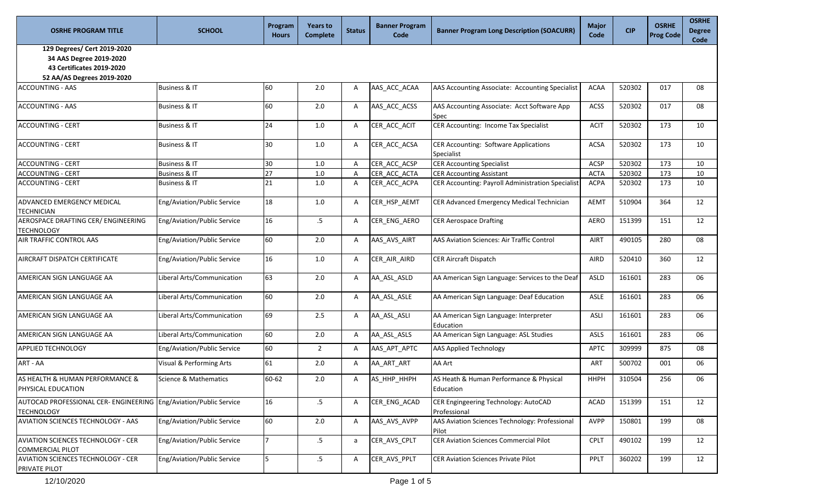| <b>OSRHE PROGRAM TITLE</b>                                                                                        | <b>SCHOOL</b>               | Program<br><b>Hours</b> | <b>Years to</b><br><b>Complete</b> | <b>Status</b> | <b>Banner Program</b><br>Code | <b>Banner Program Long Description (SOACURR)</b>        | Major<br>Code | <b>CIP</b> | <b>OSRHE</b><br><b>Prog Code</b> | <b>OSRHE</b><br><b>Degree</b><br>Code |
|-------------------------------------------------------------------------------------------------------------------|-----------------------------|-------------------------|------------------------------------|---------------|-------------------------------|---------------------------------------------------------|---------------|------------|----------------------------------|---------------------------------------|
| 129 Degrees/ Cert 2019-2020<br>34 AAS Degree 2019-2020<br>43 Certificates 2019-2020<br>52 AA/AS Degrees 2019-2020 |                             |                         |                                    |               |                               |                                                         |               |            |                                  |                                       |
| <b>ACCOUNTING - AAS</b>                                                                                           | Business & IT               | 60                      | 2.0                                | A             | AAS_ACC_ACAA                  | AAS Accounting Associate: Accounting Specialist         | <b>ACAA</b>   | 520302     | 017                              | 08                                    |
| <b>ACCOUNTING - AAS</b>                                                                                           | <b>Business &amp; IT</b>    | 60                      | 2.0                                | A             | AAS_ACC_ACSS                  | AAS Accounting Associate: Acct Software App<br>Spec     | ACSS          | 520302     | 017                              | 08                                    |
| <b>ACCOUNTING - CERT</b>                                                                                          | <b>Business &amp; IT</b>    | 24                      | 1.0                                | A             | CER_ACC_ACIT                  | CER Accounting: Income Tax Specialist                   | <b>ACIT</b>   | 520302     | 173                              | 10                                    |
| <b>ACCOUNTING - CERT</b>                                                                                          | Business & IT               | 30                      | $1.0\,$                            | A             | CER_ACC_ACSA                  | CER Accounting: Software Applications<br>Specialist     | <b>ACSA</b>   | 520302     | 173                              | 10                                    |
| <b>ACCOUNTING - CERT</b>                                                                                          | Business & IT               | 30                      | 1.0                                | A             | CER ACC ACSP                  | <b>CER Accounting Specialist</b>                        | ACSP          | 520302     | 173                              | 10                                    |
| <b>ACCOUNTING - CERT</b>                                                                                          | <b>Business &amp; IT</b>    | 27                      | $1.0\,$                            | A             | CER ACC ACTA                  | <b>CER Accounting Assistant</b>                         | <b>ACTA</b>   | 520302     | 173                              | 10                                    |
| <b>ACCOUNTING - CERT</b>                                                                                          | <b>Business &amp; IT</b>    | 21                      | 1.0                                | A             | CER_ACC_ACPA                  | CER Accounting: Payroll Administration Specialist       | <b>ACPA</b>   | 520302     | 173                              | 10                                    |
| ADVANCED EMERGENCY MEDICAL<br><b>TECHNICIAN</b>                                                                   | Eng/Aviation/Public Service | 18                      | $1.0\,$                            | Α             | CER_HSP_AEMT                  | CER Advanced Emergency Medical Technician               | AEMT          | 510904     | 364                              | 12                                    |
| AEROSPACE DRAFTING CER/ ENGINEERING<br><b>TECHNOLOGY</b>                                                          | Eng/Aviation/Public Service | 16                      | $.5\,$                             | A             | CER_ENG_AERO                  | <b>CER Aerospace Drafting</b>                           | <b>AERO</b>   | 151399     | 151                              | 12                                    |
| AIR TRAFFIC CONTROL AAS                                                                                           | Eng/Aviation/Public Service | 60                      | 2.0                                | Α             | AAS_AVS_AIRT                  | AAS Aviation Sciences: Air Traffic Control              | AIRT          | 490105     | 280                              | 08                                    |
| AIRCRAFT DISPATCH CERTIFICATE                                                                                     | Eng/Aviation/Public Service | 16                      | 1.0                                | Α             | CER_AIR_AIRD                  | <b>CER Aircraft Dispatch</b>                            | AIRD          | 520410     | 360                              | 12                                    |
| AMERICAN SIGN LANGUAGE AA                                                                                         | Liberal Arts/Communication  | 63                      | 2.0                                | Α             | AA ASL ASLD                   | AA American Sign Language: Services to the Deaf         | ASLD          | 161601     | 283                              | 06                                    |
| AMERICAN SIGN LANGUAGE AA                                                                                         | Liberal Arts/Communication  | 60                      | 2.0                                | A             | AA_ASL_ASLE                   | AA American Sign Language: Deaf Education               | ASLE          | 161601     | 283                              | 06                                    |
| AMERICAN SIGN LANGUAGE AA                                                                                         | Liberal Arts/Communication  | 69                      | 2.5                                | A             | AA_ASL_ASLI                   | AA American Sign Language: Interpreter<br>Education     | <b>ASLI</b>   | 161601     | 283                              | 06                                    |
| AMERICAN SIGN LANGUAGE AA                                                                                         | Liberal Arts/Communication  | 60                      | $2.0\,$                            | A             | AA_ASL_ASLS                   | AA American Sign Language: ASL Studies                  | ASLS          | 161601     | 283                              | 06                                    |
| <b>APPLIED TECHNOLOGY</b>                                                                                         | Eng/Aviation/Public Service | 60                      | $2^{\circ}$                        | $\mathsf{A}$  | AAS_APT_APTC                  | <b>AAS Applied Technology</b>                           | <b>APTC</b>   | 309999     | 875                              | 08                                    |
| ART - AA                                                                                                          | Visual & Performing Arts    | 61                      | 2.0                                | A             | AA_ART_ART                    | AA Art                                                  | <b>ART</b>    | 500702     | 001                              | 06                                    |
| AS HEALTH & HUMAN PERFORMANCE &<br>PHYSICAL EDUCATION                                                             | Science & Mathematics       | 60-62                   | 2.0                                | Α             | AS HHP HHPH                   | AS Heath & Human Performance & Physical<br>Education    | <b>HHPH</b>   | 310504     | 256                              | 06                                    |
| AUTOCAD PROFESSIONAL CER- ENGINEERING Eng/Aviation/Public Service<br><b>TECHNOLOGY</b>                            |                             | 16                      | $.5\phantom{0}$                    | A             | CER_ENG_ACAD                  | CER Engingeering Technology: AutoCAD<br>Professional    | <b>ACAD</b>   | 151399     | 151                              | 12                                    |
| AVIATION SCIENCES TECHNOLOGY - AAS                                                                                | Eng/Aviation/Public Service | 60                      | 2.0                                | $\mathsf{A}$  | AAS AVS AVPP                  | AAS Aviation Sciences Technology: Professional<br>Pilot | <b>AVPP</b>   | 150801     | 199                              | 08                                    |
| <b>AVIATION SCIENCES TECHNOLOGY - CER</b><br><b>COMMERCIAL PILOT</b>                                              | Eng/Aviation/Public Service | $\overline{7}$          | .5                                 | a             | CER_AVS_CPLT                  | <b>CER Aviation Sciences Commercial Pilot</b>           | <b>CPLT</b>   | 490102     | 199                              | 12                                    |
| <b>AVIATION SCIENCES TECHNOLOGY - CER</b><br>PRIVATE PILOT                                                        | Eng/Aviation/Public Service | 5                       | $.5\,$                             | A             | CER_AVS_PPLT                  | <b>CER Aviation Sciences Private Pilot</b>              | PPLT          | 360202     | 199                              | 12                                    |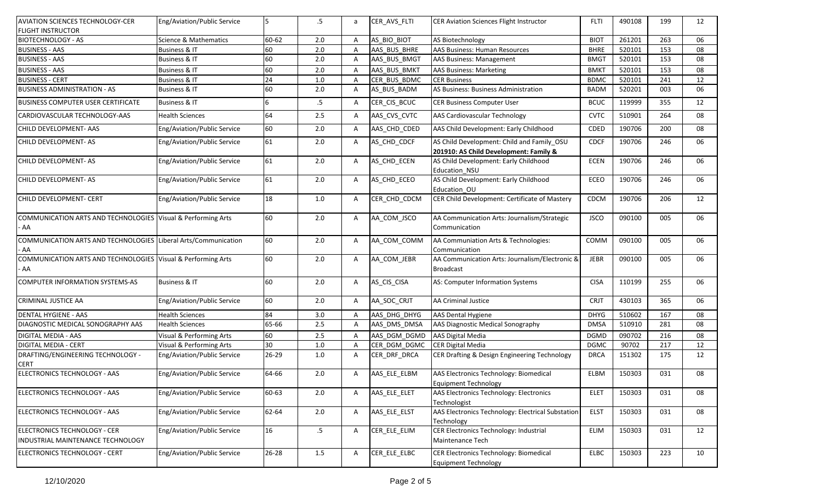| AVIATION SCIENCES TECHNOLOGY-CER                                       | Eng/Aviation/Public Service | 5     | $.5\,$          | a              | CER AVS FLTI | CER Aviation Sciences Flight Instructor                                              | <b>FLTI</b> | 490108 | 199 | 12 |
|------------------------------------------------------------------------|-----------------------------|-------|-----------------|----------------|--------------|--------------------------------------------------------------------------------------|-------------|--------|-----|----|
| <b>FLIGHT INSTRUCTOR</b>                                               |                             |       |                 |                |              |                                                                                      |             |        |     |    |
| <b>BIOTECHNOLOGY - AS</b>                                              | Science & Mathematics       | 60-62 | 2.0             | A              | AS BIO BIOT  | AS Biotechnology                                                                     | <b>BIOT</b> | 261201 | 263 | 06 |
| <b>BUSINESS - AAS</b>                                                  | <b>Business &amp; IT</b>    | 60    | 2.0             | A              | AAS BUS BHRE | AAS Business: Human Resources                                                        | <b>BHRE</b> | 520101 | 153 | 08 |
| <b>BUSINESS - AAS</b>                                                  | <b>Business &amp; IT</b>    | 60    | 2.0             | $\overline{A}$ | AAS_BUS_BMGT | <b>AAS Business: Management</b>                                                      | <b>BMGT</b> | 520101 | 153 | 08 |
| <b>BUSINESS - AAS</b>                                                  | Business & IT               | 60    | 2.0             | $\overline{A}$ | AAS BUS BMKT | <b>AAS Business: Marketing</b>                                                       | <b>BMKT</b> | 520101 | 153 | 08 |
| <b>BUSINESS - CERT</b>                                                 | <b>Business &amp; IT</b>    | 24    | 1.0             | $\mathsf{A}$   | CER BUS BDMC | <b>CER Business</b>                                                                  | <b>BDMC</b> | 520101 | 241 | 12 |
| <b>BUSINESS ADMINISTRATION - AS</b>                                    | <b>Business &amp; IT</b>    | 60    | 2.0             | $\mathsf{A}$   | AS_BUS_BADM  | AS Business: Business Administration                                                 | BADM        | 520201 | 003 | 06 |
| BUSINESS COMPUTER USER CERTIFICATE                                     | <b>Business &amp; IT</b>    | 6     | $.5\,$          | A              | CER_CIS_BCUC | <b>CER Business Computer User</b>                                                    | <b>BCUC</b> | 119999 | 355 | 12 |
| CARDIOVASCULAR TECHNOLOGY-AAS                                          | <b>Health Sciences</b>      | 64    | 2.5             | Α              | AAS_CVS_CVTC | AAS Cardiovascular Technology                                                        | <b>CVTC</b> | 510901 | 264 | 08 |
| CHILD DEVELOPMENT- AAS                                                 | Eng/Aviation/Public Service | 60    | 2.0             | A              | AAS_CHD_CDED | AAS Child Development: Early Childhood                                               | CDED        | 190706 | 200 | 08 |
| CHILD DEVELOPMENT-AS                                                   | Eng/Aviation/Public Service | 61    | 2.0             | A              | AS_CHD_CDCF  | AS Child Development: Child and Family OSU<br>201910: AS Child Development: Family & | CDCF        | 190706 | 246 | 06 |
| CHILD DEVELOPMENT-AS                                                   | Eng/Aviation/Public Service | 61    | 2.0             | A              | AS_CHD_ECEN  | AS Child Development: Early Childhood<br>Education NSU                               | <b>ECEN</b> | 190706 | 246 | 06 |
| CHILD DEVELOPMENT-AS                                                   | Eng/Aviation/Public Service | 61    | 2.0             | A              | AS_CHD_ECEO  | AS Child Development: Early Childhood<br>Education OU                                | <b>ECEO</b> | 190706 | 246 | 06 |
| CHILD DEVELOPMENT- CERT                                                | Eng/Aviation/Public Service | 18    | 1.0             | Α              | CER_CHD_CDCM | CER Child Development: Certificate of Mastery                                        | CDCM        | 190706 | 206 | 12 |
| COMMUNICATION ARTS AND TECHNOLOGIES Visual & Performing Arts<br>AA     |                             | 60    | 2.0             | Α              | AA_COM_JSCO  | AA Communication Arts: Journalism/Strategic<br>Communication                         | <b>JSCO</b> | 090100 | 005 | 06 |
| COMMUNICATION ARTS AND TECHNOLOGIES Liberal Arts/Communication<br>- AA |                             | 60    | 2.0             | Α              | AA COM COMM  | AA Communiation Arts & Technologies:<br>Communication                                | COMM        | 090100 | 005 | 06 |
| COMMUNICATION ARTS AND TECHNOLOGIES Visual & Performing Arts<br>AA     |                             | 60    | 2.0             | Α              | AA_COM_JEBR  | AA Communication Arts: Journalism/Electronic &<br><b>Broadcast</b>                   | JEBR        | 090100 | 005 | 06 |
| COMPUTER INFORMATION SYSTEMS-AS                                        | <b>Business &amp; IT</b>    | 60    | 2.0             | A              | AS_CIS_CISA  | AS: Computer Information Systems                                                     | <b>CISA</b> | 110199 | 255 | 06 |
| CRIMINAL JUSTICE AA                                                    | Eng/Aviation/Public Service | 60    | 2.0             | Α              | AA_SOC_CRJT  | <b>AA Criminal Justice</b>                                                           | <b>CRJT</b> | 430103 | 365 | 06 |
| <b>DENTAL HYGIENE - AAS</b>                                            | <b>Health Sciences</b>      | 84    | 3.0             | A              | AAS DHG DHYG | <b>AAS Dental Hygiene</b>                                                            | <b>DHYG</b> | 510602 | 167 | 08 |
| DIAGNOSTIC MEDICAL SONOGRAPHY AAS                                      | <b>Health Sciences</b>      | 65-66 | 2.5             | Α              | AAS_DMS_DMSA | AAS Diagnostic Medical Sonography                                                    | <b>DMSA</b> | 510910 | 281 | 08 |
| DIGITAL MEDIA - AAS                                                    | Visual & Performing Arts    | 60    | 2.5             | $\overline{A}$ | AAS DGM DGMD | <b>AAS Digital Media</b>                                                             | <b>DGMD</b> | 090702 | 216 | 08 |
| DIGITAL MEDIA - CERT                                                   | Visual & Performing Arts    | 30    | 1.0             | $\overline{A}$ | CER DGM DGMC | <b>CER Digital Media</b>                                                             | <b>DGMC</b> | 90702  | 217 | 12 |
| DRAFTING/ENGINEERING TECHNOLOGY -<br>CERT                              | Eng/Aviation/Public Service | 26-29 | $1.0$           | A              | CER_DRF_DRCA | CER Drafting & Design Engineering Technology                                         | <b>DRCA</b> | 151302 | 175 | 12 |
| ELECTRONICS TECHNOLOGY - AAS                                           | Eng/Aviation/Public Service | 64-66 | 2.0             | Α              | AAS_ELE_ELBM | AAS Electronics Technology: Biomedical<br><b>Equipment Technology</b>                | ELBM        | 150303 | 031 | 08 |
| ELECTRONICS TECHNOLOGY - AAS                                           | Eng/Aviation/Public Service | 60-63 | 2.0             | Α              | AAS_ELE_ELET | AAS Electronics Technology: Electronics<br>Technologist                              | <b>ELET</b> | 150303 | 031 | 08 |
| ELECTRONICS TECHNOLOGY - AAS                                           | Eng/Aviation/Public Service | 62-64 | 2.0             | Α              | AAS_ELE_ELST | AAS Electronics Technology: Electrical Substation<br>Technology                      | <b>ELST</b> | 150303 | 031 | 08 |
| ELECTRONICS TECHNOLOGY - CER<br>INDUSTRIAL MAINTENANCE TECHNOLOGY      | Eng/Aviation/Public Service | 16    | $.5\phantom{0}$ | Α              | CER_ELE_ELIM | CER Electronics Technology: Industrial<br>Maintenance Tech                           | ELIM        | 150303 | 031 | 12 |
| ELECTRONICS TECHNOLOGY - CERT                                          | Eng/Aviation/Public Service | 26-28 | 1.5             | A              | CER_ELE_ELBC | CER Electronics Technology: Biomedical<br><b>Equipment Technology</b>                | ELBC        | 150303 | 223 | 10 |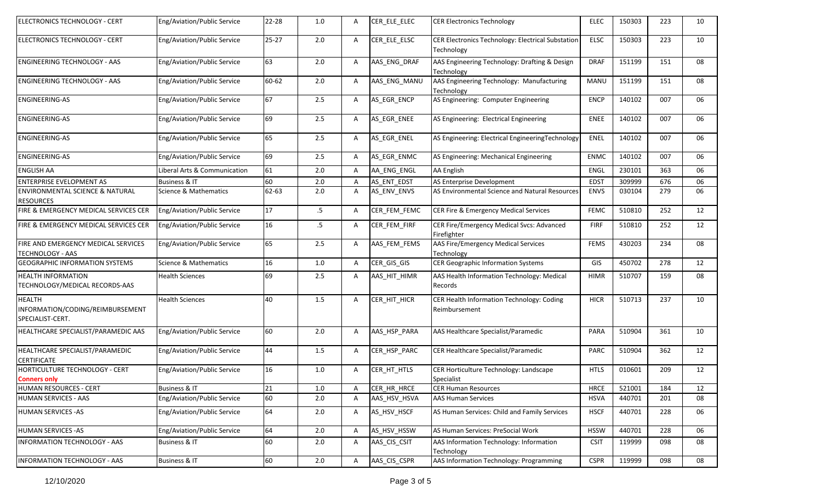| ELECTRONICS TECHNOLOGY - CERT                                         | Eng/Aviation/Public Service      | 22-28 | 1.0     | A            | CER_ELE_ELEC | <b>CER Electronics Technology</b>                               | <b>ELEC</b> | 150303 | 223 | 10 |
|-----------------------------------------------------------------------|----------------------------------|-------|---------|--------------|--------------|-----------------------------------------------------------------|-------------|--------|-----|----|
| ELECTRONICS TECHNOLOGY - CERT                                         | Eng/Aviation/Public Service      | 25-27 | 2.0     | $\mathsf{A}$ | CER_ELE_ELSC | CER Electronics Technology: Electrical Substation<br>Technology | ELSC        | 150303 | 223 | 10 |
| <b>ENGINEERING TECHNOLOGY - AAS</b>                                   | Eng/Aviation/Public Service      | 63    | 2.0     | A            | AAS ENG DRAF | AAS Engineering Technology: Drafting & Design<br>Technology     | <b>DRAF</b> | 151199 | 151 | 08 |
| <b>ENGINEERING TECHNOLOGY - AAS</b>                                   | Eng/Aviation/Public Service      | 60-62 | 2.0     | A            | AAS_ENG_MANU | AAS Engineering Technology: Manufacturing<br>Technology         | <b>MANU</b> | 151199 | 151 | 08 |
| <b>ENGINEERING-AS</b>                                                 | Eng/Aviation/Public Service      | 67    | 2.5     | $\mathsf{A}$ | AS_EGR_ENCP  | AS Engineering: Computer Engineering                            | <b>ENCP</b> | 140102 | 007 | 06 |
| <b>ENGINEERING-AS</b>                                                 | Eng/Aviation/Public Service      | 69    | 2.5     | $\mathsf{A}$ | AS_EGR_ENEE  | AS Engineering: Electrical Engineering                          | <b>ENEE</b> | 140102 | 007 | 06 |
| <b>ENGINEERING-AS</b>                                                 | Eng/Aviation/Public Service      | 65    | 2.5     | A            | AS_EGR_ENEL  | AS Engineering: Electrical EngineeringTechnology                | ENEL        | 140102 | 007 | 06 |
| <b>ENGINEERING-AS</b>                                                 | Eng/Aviation/Public Service      | 69    | 2.5     | $\mathsf{A}$ | AS_EGR_ENMC  | AS Engineering: Mechanical Engineering                          | <b>ENMC</b> | 140102 | 007 | 06 |
| <b>ENGLISH AA</b>                                                     | Liberal Arts & Communication     | 61    | 2.0     | A            | AA ENG ENGL  | <b>AA English</b>                                               | <b>ENGL</b> | 230101 | 363 | 06 |
| <b>ENTERPRISE EVELOPMENT AS</b>                                       | <b>Business &amp; IT</b>         | 60    | 2.0     | $\mathsf{A}$ | AS ENT EDST  | AS Enterprise Development                                       | <b>EDST</b> | 309999 | 676 | 06 |
| ENVIRONMENTAL SCIENCE & NATURAL<br><b>RESOURCES</b>                   | <b>Science &amp; Mathematics</b> | 62-63 | 2.0     | $\mathsf{A}$ | AS_ENV_ENVS  | AS Environmental Science and Natural Resources                  | <b>ENVS</b> | 030104 | 279 | 06 |
| FIRE & EMERGENCY MEDICAL SERVICES CER                                 | Eng/Aviation/Public Service      | 17    | $.5\,$  | $\mathsf{A}$ | CER_FEM_FEMC | CER Fire & Emergency Medical Services                           | <b>FEMC</b> | 510810 | 252 | 12 |
| FIRE & EMERGENCY MEDICAL SERVICES CER                                 | Eng/Aviation/Public Service      | 16    | $.5\,$  | $\mathsf{A}$ | CER_FEM_FIRF | CER Fire/Emergency Medical Svcs: Advanced<br>Firefighter        | <b>FIRF</b> | 510810 | 252 | 12 |
| FIRE AND EMERGENCY MEDICAL SERVICES<br><b>TECHNOLOGY - AAS</b>        | Eng/Aviation/Public Service      | 65    | 2.5     | $\mathsf{A}$ | AAS FEM FEMS | AAS Fire/Emergency Medical Services<br>Technology               | <b>FEMS</b> | 430203 | 234 | 08 |
| <b>GEOGRAPHIC INFORMATION SYSTEMS</b>                                 | Science & Mathematics            | 16    | $1.0\,$ | Α            | CER_GIS_GIS  | <b>CER Geographic Information Systems</b>                       | GIS         | 450702 | 278 | 12 |
| <b>HEALTH INFORMATION</b><br>TECHNOLOGY/MEDICAL RECORDS-AAS           | <b>Health Sciences</b>           | 69    | 2.5     | $\mathsf{A}$ | AAS_HIT_HIMR | AAS Health Information Technology: Medical<br>Records           | <b>HIMR</b> | 510707 | 159 | 08 |
| <b>HEALTH</b><br>INFORMATION/CODING/REIMBURSEMENT<br>SPECIALIST-CERT. | <b>Health Sciences</b>           | 40    | 1.5     | Α            | CER_HIT_HICR | CER Health Information Technology: Coding<br>Reimbursement      | <b>HICR</b> | 510713 | 237 | 10 |
| HEALTHCARE SPECIALIST/PARAMEDIC AAS                                   | Eng/Aviation/Public Service      | 60    | 2.0     | A            | AAS_HSP_PARA | AAS Healthcare Specialist/Paramedic                             | PARA        | 510904 | 361 | 10 |
| HEALTHCARE SPECIALIST/PARAMEDIC<br><b>CERTIFICATE</b>                 | Eng/Aviation/Public Service      | 44    | 1.5     | Α            | CER_HSP_PARC | CER Healthcare Specialist/Paramedic                             | <b>PARC</b> | 510904 | 362 | 12 |
| HORTICULTURE TECHNOLOGY - CERT<br><b>Conners only</b>                 | Eng/Aviation/Public Service      | 16    | 1.0     | Α            | CER_HT_HTLS  | CER Horticulture Technology: Landscape<br>Specialist            | <b>HTLS</b> | 010601 | 209 | 12 |
| HUMAN RESOURCES - CERT                                                | Business & IT                    | 21    | 1.0     | $\mathsf{A}$ | CER HR HRCE  | <b>CER Human Resources</b>                                      | <b>HRCE</b> | 521001 | 184 | 12 |
| <b>HUMAN SERVICES - AAS</b>                                           | Eng/Aviation/Public Service      | 60    | 2.0     | $\mathsf{A}$ | AAS_HSV_HSVA | <b>AAS Human Services</b>                                       | <b>HSVA</b> | 440701 | 201 | 08 |
| <b>HUMAN SERVICES - AS</b>                                            | Eng/Aviation/Public Service      | 64    | 2.0     | A            | AS_HSV_HSCF  | AS Human Services: Child and Family Services                    | <b>HSCF</b> | 440701 | 228 | 06 |
| HUMAN SERVICES - AS                                                   | Eng/Aviation/Public Service      | 64    | 2.0     | $\mathsf{A}$ | AS_HSV_HSSW  | AS Human Services: PreSocial Work                               | <b>HSSW</b> | 440701 | 228 | 06 |
| <b>INFORMATION TECHNOLOGY - AAS</b>                                   | <b>Business &amp; IT</b>         | 60    | 2.0     | A            | AAS CIS CSIT | AAS Information Technology: Information<br>Technology           | <b>CSIT</b> | 119999 | 098 | 08 |
| INFORMATION TECHNOLOGY - AAS                                          | Business & IT                    | 60    | 2.0     | Α            | AAS_CIS_CSPR | AAS Information Technology: Programming                         | <b>CSPR</b> | 119999 | 098 | 08 |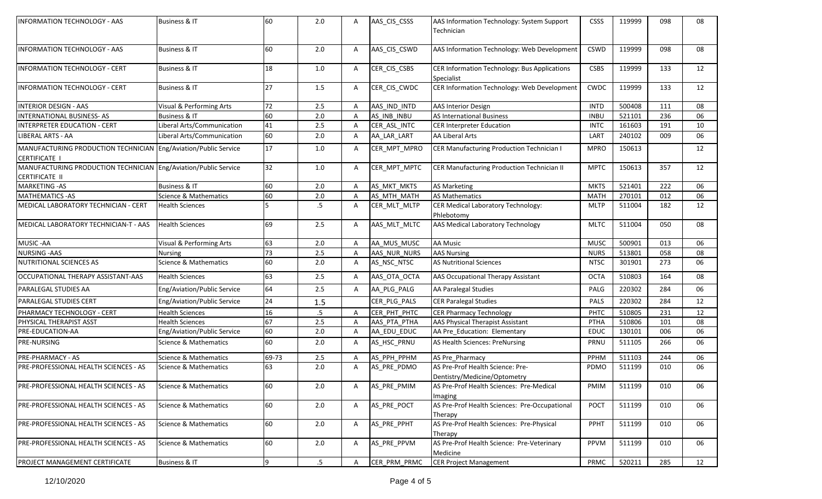| 60<br>AAS_CIS_CSWD<br>119999<br>098<br><b>Business &amp; IT</b><br>2.0<br>A<br>AAS Information Technology: Web Development<br><b>CSWD</b><br>08<br>18<br>CER_CIS_CSBS<br>CER Information Technology: Bus Applications<br><b>Business &amp; IT</b><br>1.0<br>A<br><b>CSBS</b><br>119999<br>133<br>12<br>Specialist<br>27<br>CER Information Technology: Web Development<br>CER_CIS_CWDC<br>Business & IT<br>1.5<br>CWDC<br>119999<br>133<br>12<br>A<br>72<br>AAS IND INTD<br>2.5<br><b>AAS Interior Design</b><br><b>INTD</b><br>500408<br>08<br>Visual & Performing Arts<br>111<br>Α<br>60<br><b>Business &amp; IT</b><br>2.0<br>AS INB INBU<br><b>AS International Business</b><br>521101<br>236<br>06<br><b>INBU</b><br>Α<br><b>INTERPRETER EDUCATION - CERT</b><br>41<br>2.5<br>Liberal Arts/Communication<br>CER_ASL_INTC<br><b>CER Interpreter Education</b><br><b>INTC</b><br>161603<br>191<br>10<br>A<br>60<br><b>AA Liberal Arts</b><br>Liberal Arts/Communication<br>AA LAR LART<br>LART<br>240102<br>2.0<br>A<br>009<br>06<br>17<br>CER Manufacturing Production Technician I<br>MANUFACTURING PRODUCTION TECHNICIAN Eng/Aviation/Public Service<br>1.0<br>A<br>CER_MPT_MPRO<br>150613<br>12<br><b>MPRO</b><br>32<br>CER Manufacturing Production Technician II<br>MANUFACTURING PRODUCTION TECHNICIAN Eng/Aviation/Public Service<br>1.0<br>CER_MPT_MPTC<br>150613<br>357<br>12<br>$\mathsf{A}$<br><b>MPTC</b><br>60<br>521401<br>222<br><b>Business &amp; IT</b><br>2.0<br>AS MKT MKTS<br><b>AS Marketing</b><br>A<br><b>MKTS</b><br>06<br>60<br>AS MTH MATH<br>270101<br>2.0<br><b>AS Mathematics</b><br><b>MATH</b><br>012<br>Science & Mathematics<br>A<br>06<br>.5<br>CER Medical Laboratory Technology:<br>12<br><b>Health Sciences</b><br>A<br>CER_MLT_MLTP<br>511004<br>182<br><b>MLTP</b><br>Phlebotomy<br>69<br>2.5<br><b>Health Sciences</b><br>AAS_MLT_MLTC<br>AAS Medical Laboratory Technology<br>511004<br>050<br>08<br>A<br><b>MLTC</b><br>63<br>AA MUS MUSC<br><b>AA Music</b><br>500901<br>2.0<br><b>MUSC</b><br>013<br>06<br>Visual & Performing Arts<br>Α<br><b>NURSING - AAS</b><br>73<br>2.5<br>AAS NUR NURS<br><b>AAS Nursing</b><br>513801<br>058<br>Α<br><b>NURS</b><br>08<br><b>Nursing</b><br><b>NUTRITIONAL SCIENCES AS</b><br>60<br><b>Science &amp; Mathematics</b><br>2.0<br>A<br>AS_NSC_NTSC<br><b>AS Nutritional Sciences</b><br>301901<br>273<br>06<br><b>NTSC</b><br>63<br>2.5<br>AAS_OTA_OCTA<br>AAS Occupational Therapy Assistant<br>510803<br><b>Health Sciences</b><br>A<br><b>OCTA</b><br>164<br>08<br>Eng/Aviation/Public Service<br>64<br>2.5<br>AA_PLG_PALG<br>AA Paralegal Studies<br>220302<br>284<br>A<br>PALG<br>06<br>24<br>220302<br>Eng/Aviation/Public Service<br>CER_PLG_PALS<br><b>CER Paralegal Studies</b><br>284<br>PALS<br>12<br>1.5<br>16<br>$.5\phantom{0}$<br>CER PHT PHTC<br>PHTC<br>510805<br>A<br><b>CER Pharmacy Technology</b><br>231<br>12<br><b>Health Sciences</b><br>67<br>2.5<br>AAS PTA PTHA<br><b>AAS Physical Therapist Assistant</b><br>510806<br><b>Health Sciences</b><br>A<br>PTHA<br>101<br>08<br>60<br>Eng/Aviation/Public Service<br>2.0<br>130101<br>006<br>A<br>AA_EDU_EDUC<br>AA Pre Education: Elementary<br><b>EDUC</b><br>06<br>60<br>AS_HSC_PRNU<br><b>Science &amp; Mathematics</b><br>2.0<br>A<br>AS Health Sciences: PreNursing<br>PRNU<br>511105<br>266<br>06<br>69-73<br>AS PPH PPHM<br>AS Pre Pharmacy<br>511103<br>Science & Mathematics<br>2.5<br>PPHM<br>244<br>06<br>A<br>63<br>AS Pre-Prof Health Science: Pre-<br>Science & Mathematics<br>2.0<br>A<br>AS_PRE_PDMO<br>PDMO<br>511199<br>010<br>06<br>Dentistry/Medicine/Optometry<br>60<br>2.0<br>AS_PRE_PMIM<br>AS Pre-Prof Health Sciences: Pre-Medical<br>511199<br>010<br>Science & Mathematics<br><b>PMIM</b><br>06<br>Α<br>Imaging<br>60<br>AS_PRE_POCT<br>AS Pre-Prof Health Sciences: Pre-Occupational<br>511199<br>Science & Mathematics<br>2.0<br><b>POCT</b><br>010<br>06<br>A<br>Therapy<br>60<br>AS Pre-Prof Health Sciences: Pre-Physical<br>Science & Mathematics<br>2.0<br>AS_PRE_PPHT<br>PPHT<br>511199<br>010<br>06<br>A<br>Therapy<br>60<br>AS Pre-Prof Health Science: Pre-Veterinary<br>Science & Mathematics<br>$2.0\,$<br>AS PRE PPVM<br>PPVM<br>511199<br>010<br>A<br>06<br>Medicine | <b>INFORMATION TECHNOLOGY - AAS</b>   | <b>Business &amp; IT</b> | 60 | 2.0             | A            | AAS_CIS_CSSS | AAS Information Technology: System Support<br>Technician | CSSS | 119999 | 098 | 08 |
|-----------------------------------------------------------------------------------------------------------------------------------------------------------------------------------------------------------------------------------------------------------------------------------------------------------------------------------------------------------------------------------------------------------------------------------------------------------------------------------------------------------------------------------------------------------------------------------------------------------------------------------------------------------------------------------------------------------------------------------------------------------------------------------------------------------------------------------------------------------------------------------------------------------------------------------------------------------------------------------------------------------------------------------------------------------------------------------------------------------------------------------------------------------------------------------------------------------------------------------------------------------------------------------------------------------------------------------------------------------------------------------------------------------------------------------------------------------------------------------------------------------------------------------------------------------------------------------------------------------------------------------------------------------------------------------------------------------------------------------------------------------------------------------------------------------------------------------------------------------------------------------------------------------------------------------------------------------------------------------------------------------------------------------------------------------------------------------------------------------------------------------------------------------------------------------------------------------------------------------------------------------------------------------------------------------------------------------------------------------------------------------------------------------------------------------------------------------------------------------------------------------------------------------------------------------------------------------------------------------------------------------------------------------------------------------------------------------------------------------------------------------------------------------------------------------------------------------------------------------------------------------------------------------------------------------------------------------------------------------------------------------------------------------------------------------------------------------------------------------------------------------------------------------------------------------------------------------------------------------------------------------------------------------------------------------------------------------------------------------------------------------------------------------------------------------------------------------------------------------------------------------------------------------------------------------------------------------------------------------------------------------------------------------------------------------------------------------------------------------------------------------------------------------------------------------------------------------------------------------------------------------------------------------------------------------------------------------------------------------------------------------------------------------------------------------------------------------------------------------------------------------------------------------------------------------------------------------------------------------------------------------------------------|---------------------------------------|--------------------------|----|-----------------|--------------|--------------|----------------------------------------------------------|------|--------|-----|----|
|                                                                                                                                                                                                                                                                                                                                                                                                                                                                                                                                                                                                                                                                                                                                                                                                                                                                                                                                                                                                                                                                                                                                                                                                                                                                                                                                                                                                                                                                                                                                                                                                                                                                                                                                                                                                                                                                                                                                                                                                                                                                                                                                                                                                                                                                                                                                                                                                                                                                                                                                                                                                                                                                                                                                                                                                                                                                                                                                                                                                                                                                                                                                                                                                                                                                                                                                                                                                                                                                                                                                                                                                                                                                                                                                                                                                                                                                                                                                                                                                                                                                                                                                                                                                                                                                             | <b>INFORMATION TECHNOLOGY - AAS</b>   |                          |    |                 |              |              |                                                          |      |        |     |    |
|                                                                                                                                                                                                                                                                                                                                                                                                                                                                                                                                                                                                                                                                                                                                                                                                                                                                                                                                                                                                                                                                                                                                                                                                                                                                                                                                                                                                                                                                                                                                                                                                                                                                                                                                                                                                                                                                                                                                                                                                                                                                                                                                                                                                                                                                                                                                                                                                                                                                                                                                                                                                                                                                                                                                                                                                                                                                                                                                                                                                                                                                                                                                                                                                                                                                                                                                                                                                                                                                                                                                                                                                                                                                                                                                                                                                                                                                                                                                                                                                                                                                                                                                                                                                                                                                             | <b>INFORMATION TECHNOLOGY - CERT</b>  |                          |    |                 |              |              |                                                          |      |        |     |    |
|                                                                                                                                                                                                                                                                                                                                                                                                                                                                                                                                                                                                                                                                                                                                                                                                                                                                                                                                                                                                                                                                                                                                                                                                                                                                                                                                                                                                                                                                                                                                                                                                                                                                                                                                                                                                                                                                                                                                                                                                                                                                                                                                                                                                                                                                                                                                                                                                                                                                                                                                                                                                                                                                                                                                                                                                                                                                                                                                                                                                                                                                                                                                                                                                                                                                                                                                                                                                                                                                                                                                                                                                                                                                                                                                                                                                                                                                                                                                                                                                                                                                                                                                                                                                                                                                             | <b>INFORMATION TECHNOLOGY - CERT</b>  |                          |    |                 |              |              |                                                          |      |        |     |    |
|                                                                                                                                                                                                                                                                                                                                                                                                                                                                                                                                                                                                                                                                                                                                                                                                                                                                                                                                                                                                                                                                                                                                                                                                                                                                                                                                                                                                                                                                                                                                                                                                                                                                                                                                                                                                                                                                                                                                                                                                                                                                                                                                                                                                                                                                                                                                                                                                                                                                                                                                                                                                                                                                                                                                                                                                                                                                                                                                                                                                                                                                                                                                                                                                                                                                                                                                                                                                                                                                                                                                                                                                                                                                                                                                                                                                                                                                                                                                                                                                                                                                                                                                                                                                                                                                             | <b>INTERIOR DESIGN - AAS</b>          |                          |    |                 |              |              |                                                          |      |        |     |    |
|                                                                                                                                                                                                                                                                                                                                                                                                                                                                                                                                                                                                                                                                                                                                                                                                                                                                                                                                                                                                                                                                                                                                                                                                                                                                                                                                                                                                                                                                                                                                                                                                                                                                                                                                                                                                                                                                                                                                                                                                                                                                                                                                                                                                                                                                                                                                                                                                                                                                                                                                                                                                                                                                                                                                                                                                                                                                                                                                                                                                                                                                                                                                                                                                                                                                                                                                                                                                                                                                                                                                                                                                                                                                                                                                                                                                                                                                                                                                                                                                                                                                                                                                                                                                                                                                             | <b>INTERNATIONAL BUSINESS-AS</b>      |                          |    |                 |              |              |                                                          |      |        |     |    |
|                                                                                                                                                                                                                                                                                                                                                                                                                                                                                                                                                                                                                                                                                                                                                                                                                                                                                                                                                                                                                                                                                                                                                                                                                                                                                                                                                                                                                                                                                                                                                                                                                                                                                                                                                                                                                                                                                                                                                                                                                                                                                                                                                                                                                                                                                                                                                                                                                                                                                                                                                                                                                                                                                                                                                                                                                                                                                                                                                                                                                                                                                                                                                                                                                                                                                                                                                                                                                                                                                                                                                                                                                                                                                                                                                                                                                                                                                                                                                                                                                                                                                                                                                                                                                                                                             |                                       |                          |    |                 |              |              |                                                          |      |        |     |    |
|                                                                                                                                                                                                                                                                                                                                                                                                                                                                                                                                                                                                                                                                                                                                                                                                                                                                                                                                                                                                                                                                                                                                                                                                                                                                                                                                                                                                                                                                                                                                                                                                                                                                                                                                                                                                                                                                                                                                                                                                                                                                                                                                                                                                                                                                                                                                                                                                                                                                                                                                                                                                                                                                                                                                                                                                                                                                                                                                                                                                                                                                                                                                                                                                                                                                                                                                                                                                                                                                                                                                                                                                                                                                                                                                                                                                                                                                                                                                                                                                                                                                                                                                                                                                                                                                             | LIBERAL ARTS - AA                     |                          |    |                 |              |              |                                                          |      |        |     |    |
|                                                                                                                                                                                                                                                                                                                                                                                                                                                                                                                                                                                                                                                                                                                                                                                                                                                                                                                                                                                                                                                                                                                                                                                                                                                                                                                                                                                                                                                                                                                                                                                                                                                                                                                                                                                                                                                                                                                                                                                                                                                                                                                                                                                                                                                                                                                                                                                                                                                                                                                                                                                                                                                                                                                                                                                                                                                                                                                                                                                                                                                                                                                                                                                                                                                                                                                                                                                                                                                                                                                                                                                                                                                                                                                                                                                                                                                                                                                                                                                                                                                                                                                                                                                                                                                                             | <b>CERTIFICATE I</b>                  |                          |    |                 |              |              |                                                          |      |        |     |    |
|                                                                                                                                                                                                                                                                                                                                                                                                                                                                                                                                                                                                                                                                                                                                                                                                                                                                                                                                                                                                                                                                                                                                                                                                                                                                                                                                                                                                                                                                                                                                                                                                                                                                                                                                                                                                                                                                                                                                                                                                                                                                                                                                                                                                                                                                                                                                                                                                                                                                                                                                                                                                                                                                                                                                                                                                                                                                                                                                                                                                                                                                                                                                                                                                                                                                                                                                                                                                                                                                                                                                                                                                                                                                                                                                                                                                                                                                                                                                                                                                                                                                                                                                                                                                                                                                             | <b>CERTIFICATE II</b>                 |                          |    |                 |              |              |                                                          |      |        |     |    |
|                                                                                                                                                                                                                                                                                                                                                                                                                                                                                                                                                                                                                                                                                                                                                                                                                                                                                                                                                                                                                                                                                                                                                                                                                                                                                                                                                                                                                                                                                                                                                                                                                                                                                                                                                                                                                                                                                                                                                                                                                                                                                                                                                                                                                                                                                                                                                                                                                                                                                                                                                                                                                                                                                                                                                                                                                                                                                                                                                                                                                                                                                                                                                                                                                                                                                                                                                                                                                                                                                                                                                                                                                                                                                                                                                                                                                                                                                                                                                                                                                                                                                                                                                                                                                                                                             | <b>MARKETING - AS</b>                 |                          |    |                 |              |              |                                                          |      |        |     |    |
|                                                                                                                                                                                                                                                                                                                                                                                                                                                                                                                                                                                                                                                                                                                                                                                                                                                                                                                                                                                                                                                                                                                                                                                                                                                                                                                                                                                                                                                                                                                                                                                                                                                                                                                                                                                                                                                                                                                                                                                                                                                                                                                                                                                                                                                                                                                                                                                                                                                                                                                                                                                                                                                                                                                                                                                                                                                                                                                                                                                                                                                                                                                                                                                                                                                                                                                                                                                                                                                                                                                                                                                                                                                                                                                                                                                                                                                                                                                                                                                                                                                                                                                                                                                                                                                                             | <b>MATHEMATICS - AS</b>               |                          |    |                 |              |              |                                                          |      |        |     |    |
|                                                                                                                                                                                                                                                                                                                                                                                                                                                                                                                                                                                                                                                                                                                                                                                                                                                                                                                                                                                                                                                                                                                                                                                                                                                                                                                                                                                                                                                                                                                                                                                                                                                                                                                                                                                                                                                                                                                                                                                                                                                                                                                                                                                                                                                                                                                                                                                                                                                                                                                                                                                                                                                                                                                                                                                                                                                                                                                                                                                                                                                                                                                                                                                                                                                                                                                                                                                                                                                                                                                                                                                                                                                                                                                                                                                                                                                                                                                                                                                                                                                                                                                                                                                                                                                                             | MEDICAL LABORATORY TECHNICIAN - CERT  |                          |    |                 |              |              |                                                          |      |        |     |    |
|                                                                                                                                                                                                                                                                                                                                                                                                                                                                                                                                                                                                                                                                                                                                                                                                                                                                                                                                                                                                                                                                                                                                                                                                                                                                                                                                                                                                                                                                                                                                                                                                                                                                                                                                                                                                                                                                                                                                                                                                                                                                                                                                                                                                                                                                                                                                                                                                                                                                                                                                                                                                                                                                                                                                                                                                                                                                                                                                                                                                                                                                                                                                                                                                                                                                                                                                                                                                                                                                                                                                                                                                                                                                                                                                                                                                                                                                                                                                                                                                                                                                                                                                                                                                                                                                             | MEDICAL LABORATORY TECHNICIAN-T - AAS |                          |    |                 |              |              |                                                          |      |        |     |    |
|                                                                                                                                                                                                                                                                                                                                                                                                                                                                                                                                                                                                                                                                                                                                                                                                                                                                                                                                                                                                                                                                                                                                                                                                                                                                                                                                                                                                                                                                                                                                                                                                                                                                                                                                                                                                                                                                                                                                                                                                                                                                                                                                                                                                                                                                                                                                                                                                                                                                                                                                                                                                                                                                                                                                                                                                                                                                                                                                                                                                                                                                                                                                                                                                                                                                                                                                                                                                                                                                                                                                                                                                                                                                                                                                                                                                                                                                                                                                                                                                                                                                                                                                                                                                                                                                             | MUSIC-AA                              |                          |    |                 |              |              |                                                          |      |        |     |    |
|                                                                                                                                                                                                                                                                                                                                                                                                                                                                                                                                                                                                                                                                                                                                                                                                                                                                                                                                                                                                                                                                                                                                                                                                                                                                                                                                                                                                                                                                                                                                                                                                                                                                                                                                                                                                                                                                                                                                                                                                                                                                                                                                                                                                                                                                                                                                                                                                                                                                                                                                                                                                                                                                                                                                                                                                                                                                                                                                                                                                                                                                                                                                                                                                                                                                                                                                                                                                                                                                                                                                                                                                                                                                                                                                                                                                                                                                                                                                                                                                                                                                                                                                                                                                                                                                             |                                       |                          |    |                 |              |              |                                                          |      |        |     |    |
|                                                                                                                                                                                                                                                                                                                                                                                                                                                                                                                                                                                                                                                                                                                                                                                                                                                                                                                                                                                                                                                                                                                                                                                                                                                                                                                                                                                                                                                                                                                                                                                                                                                                                                                                                                                                                                                                                                                                                                                                                                                                                                                                                                                                                                                                                                                                                                                                                                                                                                                                                                                                                                                                                                                                                                                                                                                                                                                                                                                                                                                                                                                                                                                                                                                                                                                                                                                                                                                                                                                                                                                                                                                                                                                                                                                                                                                                                                                                                                                                                                                                                                                                                                                                                                                                             |                                       |                          |    |                 |              |              |                                                          |      |        |     |    |
|                                                                                                                                                                                                                                                                                                                                                                                                                                                                                                                                                                                                                                                                                                                                                                                                                                                                                                                                                                                                                                                                                                                                                                                                                                                                                                                                                                                                                                                                                                                                                                                                                                                                                                                                                                                                                                                                                                                                                                                                                                                                                                                                                                                                                                                                                                                                                                                                                                                                                                                                                                                                                                                                                                                                                                                                                                                                                                                                                                                                                                                                                                                                                                                                                                                                                                                                                                                                                                                                                                                                                                                                                                                                                                                                                                                                                                                                                                                                                                                                                                                                                                                                                                                                                                                                             | OCCUPATIONAL THERAPY ASSISTANT-AAS    |                          |    |                 |              |              |                                                          |      |        |     |    |
|                                                                                                                                                                                                                                                                                                                                                                                                                                                                                                                                                                                                                                                                                                                                                                                                                                                                                                                                                                                                                                                                                                                                                                                                                                                                                                                                                                                                                                                                                                                                                                                                                                                                                                                                                                                                                                                                                                                                                                                                                                                                                                                                                                                                                                                                                                                                                                                                                                                                                                                                                                                                                                                                                                                                                                                                                                                                                                                                                                                                                                                                                                                                                                                                                                                                                                                                                                                                                                                                                                                                                                                                                                                                                                                                                                                                                                                                                                                                                                                                                                                                                                                                                                                                                                                                             | PARALEGAL STUDIES AA                  |                          |    |                 |              |              |                                                          |      |        |     |    |
|                                                                                                                                                                                                                                                                                                                                                                                                                                                                                                                                                                                                                                                                                                                                                                                                                                                                                                                                                                                                                                                                                                                                                                                                                                                                                                                                                                                                                                                                                                                                                                                                                                                                                                                                                                                                                                                                                                                                                                                                                                                                                                                                                                                                                                                                                                                                                                                                                                                                                                                                                                                                                                                                                                                                                                                                                                                                                                                                                                                                                                                                                                                                                                                                                                                                                                                                                                                                                                                                                                                                                                                                                                                                                                                                                                                                                                                                                                                                                                                                                                                                                                                                                                                                                                                                             | PARALEGAL STUDIES CERT                |                          |    |                 |              |              |                                                          |      |        |     |    |
|                                                                                                                                                                                                                                                                                                                                                                                                                                                                                                                                                                                                                                                                                                                                                                                                                                                                                                                                                                                                                                                                                                                                                                                                                                                                                                                                                                                                                                                                                                                                                                                                                                                                                                                                                                                                                                                                                                                                                                                                                                                                                                                                                                                                                                                                                                                                                                                                                                                                                                                                                                                                                                                                                                                                                                                                                                                                                                                                                                                                                                                                                                                                                                                                                                                                                                                                                                                                                                                                                                                                                                                                                                                                                                                                                                                                                                                                                                                                                                                                                                                                                                                                                                                                                                                                             | PHARMACY TECHNOLOGY - CERT            |                          |    |                 |              |              |                                                          |      |        |     |    |
|                                                                                                                                                                                                                                                                                                                                                                                                                                                                                                                                                                                                                                                                                                                                                                                                                                                                                                                                                                                                                                                                                                                                                                                                                                                                                                                                                                                                                                                                                                                                                                                                                                                                                                                                                                                                                                                                                                                                                                                                                                                                                                                                                                                                                                                                                                                                                                                                                                                                                                                                                                                                                                                                                                                                                                                                                                                                                                                                                                                                                                                                                                                                                                                                                                                                                                                                                                                                                                                                                                                                                                                                                                                                                                                                                                                                                                                                                                                                                                                                                                                                                                                                                                                                                                                                             | PHYSICAL THERAPIST ASST               |                          |    |                 |              |              |                                                          |      |        |     |    |
|                                                                                                                                                                                                                                                                                                                                                                                                                                                                                                                                                                                                                                                                                                                                                                                                                                                                                                                                                                                                                                                                                                                                                                                                                                                                                                                                                                                                                                                                                                                                                                                                                                                                                                                                                                                                                                                                                                                                                                                                                                                                                                                                                                                                                                                                                                                                                                                                                                                                                                                                                                                                                                                                                                                                                                                                                                                                                                                                                                                                                                                                                                                                                                                                                                                                                                                                                                                                                                                                                                                                                                                                                                                                                                                                                                                                                                                                                                                                                                                                                                                                                                                                                                                                                                                                             | PRE-EDUCATION-AA                      |                          |    |                 |              |              |                                                          |      |        |     |    |
|                                                                                                                                                                                                                                                                                                                                                                                                                                                                                                                                                                                                                                                                                                                                                                                                                                                                                                                                                                                                                                                                                                                                                                                                                                                                                                                                                                                                                                                                                                                                                                                                                                                                                                                                                                                                                                                                                                                                                                                                                                                                                                                                                                                                                                                                                                                                                                                                                                                                                                                                                                                                                                                                                                                                                                                                                                                                                                                                                                                                                                                                                                                                                                                                                                                                                                                                                                                                                                                                                                                                                                                                                                                                                                                                                                                                                                                                                                                                                                                                                                                                                                                                                                                                                                                                             | PRE-NURSING                           |                          |    |                 |              |              |                                                          |      |        |     |    |
|                                                                                                                                                                                                                                                                                                                                                                                                                                                                                                                                                                                                                                                                                                                                                                                                                                                                                                                                                                                                                                                                                                                                                                                                                                                                                                                                                                                                                                                                                                                                                                                                                                                                                                                                                                                                                                                                                                                                                                                                                                                                                                                                                                                                                                                                                                                                                                                                                                                                                                                                                                                                                                                                                                                                                                                                                                                                                                                                                                                                                                                                                                                                                                                                                                                                                                                                                                                                                                                                                                                                                                                                                                                                                                                                                                                                                                                                                                                                                                                                                                                                                                                                                                                                                                                                             | PRE-PHARMACY - AS                     |                          |    |                 |              |              |                                                          |      |        |     |    |
|                                                                                                                                                                                                                                                                                                                                                                                                                                                                                                                                                                                                                                                                                                                                                                                                                                                                                                                                                                                                                                                                                                                                                                                                                                                                                                                                                                                                                                                                                                                                                                                                                                                                                                                                                                                                                                                                                                                                                                                                                                                                                                                                                                                                                                                                                                                                                                                                                                                                                                                                                                                                                                                                                                                                                                                                                                                                                                                                                                                                                                                                                                                                                                                                                                                                                                                                                                                                                                                                                                                                                                                                                                                                                                                                                                                                                                                                                                                                                                                                                                                                                                                                                                                                                                                                             | PRE-PROFESSIONAL HEALTH SCIENCES - AS |                          |    |                 |              |              |                                                          |      |        |     |    |
|                                                                                                                                                                                                                                                                                                                                                                                                                                                                                                                                                                                                                                                                                                                                                                                                                                                                                                                                                                                                                                                                                                                                                                                                                                                                                                                                                                                                                                                                                                                                                                                                                                                                                                                                                                                                                                                                                                                                                                                                                                                                                                                                                                                                                                                                                                                                                                                                                                                                                                                                                                                                                                                                                                                                                                                                                                                                                                                                                                                                                                                                                                                                                                                                                                                                                                                                                                                                                                                                                                                                                                                                                                                                                                                                                                                                                                                                                                                                                                                                                                                                                                                                                                                                                                                                             | PRE-PROFESSIONAL HEALTH SCIENCES - AS |                          |    |                 |              |              |                                                          |      |        |     |    |
|                                                                                                                                                                                                                                                                                                                                                                                                                                                                                                                                                                                                                                                                                                                                                                                                                                                                                                                                                                                                                                                                                                                                                                                                                                                                                                                                                                                                                                                                                                                                                                                                                                                                                                                                                                                                                                                                                                                                                                                                                                                                                                                                                                                                                                                                                                                                                                                                                                                                                                                                                                                                                                                                                                                                                                                                                                                                                                                                                                                                                                                                                                                                                                                                                                                                                                                                                                                                                                                                                                                                                                                                                                                                                                                                                                                                                                                                                                                                                                                                                                                                                                                                                                                                                                                                             | PRE-PROFESSIONAL HEALTH SCIENCES - AS |                          |    |                 |              |              |                                                          |      |        |     |    |
|                                                                                                                                                                                                                                                                                                                                                                                                                                                                                                                                                                                                                                                                                                                                                                                                                                                                                                                                                                                                                                                                                                                                                                                                                                                                                                                                                                                                                                                                                                                                                                                                                                                                                                                                                                                                                                                                                                                                                                                                                                                                                                                                                                                                                                                                                                                                                                                                                                                                                                                                                                                                                                                                                                                                                                                                                                                                                                                                                                                                                                                                                                                                                                                                                                                                                                                                                                                                                                                                                                                                                                                                                                                                                                                                                                                                                                                                                                                                                                                                                                                                                                                                                                                                                                                                             | PRE-PROFESSIONAL HEALTH SCIENCES - AS |                          |    |                 |              |              |                                                          |      |        |     |    |
|                                                                                                                                                                                                                                                                                                                                                                                                                                                                                                                                                                                                                                                                                                                                                                                                                                                                                                                                                                                                                                                                                                                                                                                                                                                                                                                                                                                                                                                                                                                                                                                                                                                                                                                                                                                                                                                                                                                                                                                                                                                                                                                                                                                                                                                                                                                                                                                                                                                                                                                                                                                                                                                                                                                                                                                                                                                                                                                                                                                                                                                                                                                                                                                                                                                                                                                                                                                                                                                                                                                                                                                                                                                                                                                                                                                                                                                                                                                                                                                                                                                                                                                                                                                                                                                                             | PRE-PROFESSIONAL HEALTH SCIENCES - AS |                          |    |                 |              |              |                                                          |      |        |     |    |
|                                                                                                                                                                                                                                                                                                                                                                                                                                                                                                                                                                                                                                                                                                                                                                                                                                                                                                                                                                                                                                                                                                                                                                                                                                                                                                                                                                                                                                                                                                                                                                                                                                                                                                                                                                                                                                                                                                                                                                                                                                                                                                                                                                                                                                                                                                                                                                                                                                                                                                                                                                                                                                                                                                                                                                                                                                                                                                                                                                                                                                                                                                                                                                                                                                                                                                                                                                                                                                                                                                                                                                                                                                                                                                                                                                                                                                                                                                                                                                                                                                                                                                                                                                                                                                                                             | PROJECT MANAGEMENT CERTIFICATE        | Business & IT            | 9  | $.5\phantom{0}$ | $\mathsf{A}$ | CER_PRM_PRMC | <b>CER Project Management</b>                            | PRMC | 520211 | 285 | 12 |